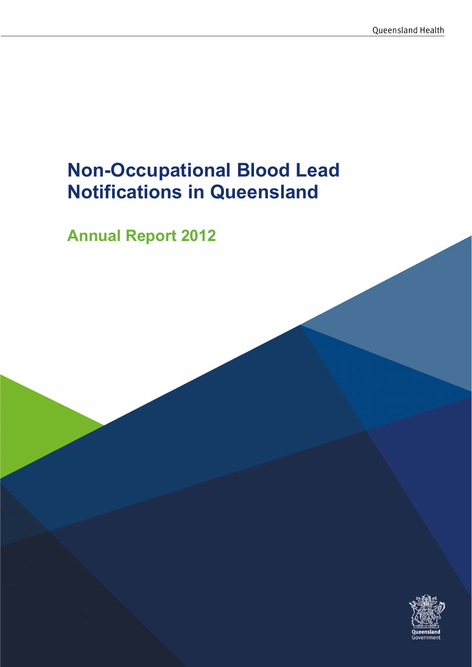# Non-Occupational Blood Lead Notifications in Queensland

Annual Report 2012

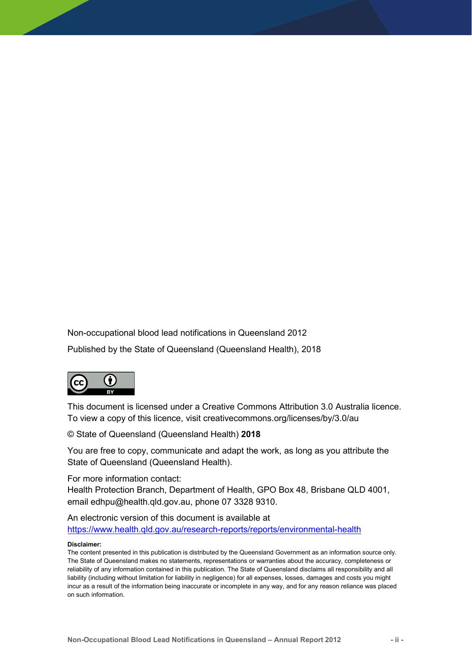Non-occupational blood lead notifications in Queensland 2012

Published by the State of Queensland (Queensland Health), 2018



This document is licensed under a Creative Commons Attribution 3.0 Australia licence. To view a copy of this licence, visit creativecommons.org/licenses/by/3.0/au

© State of Queensland (Queensland Health) 2018

You are free to copy, communicate and adapt the work, as long as you attribute the State of Queensland (Queensland Health).

For more information contact:

Health Protection Branch, Department of Health, GPO Box 48, Brisbane QLD 4001, email edhpu@health.qld.gov.au, phone 07 3328 9310.

An electronic version of this document is available at https://www.health.qld.gov.au/research-reports/reports/environmental-health

#### Disclaimer:

The content presented in this publication is distributed by the Queensland Government as an information source only. The State of Queensland makes no statements, representations or warranties about the accuracy, completeness or reliability of any information contained in this publication. The State of Queensland disclaims all responsibility and all liability (including without limitation for liability in negligence) for all expenses, losses, damages and costs you might incur as a result of the information being inaccurate or incomplete in any way, and for any reason reliance was placed on such information.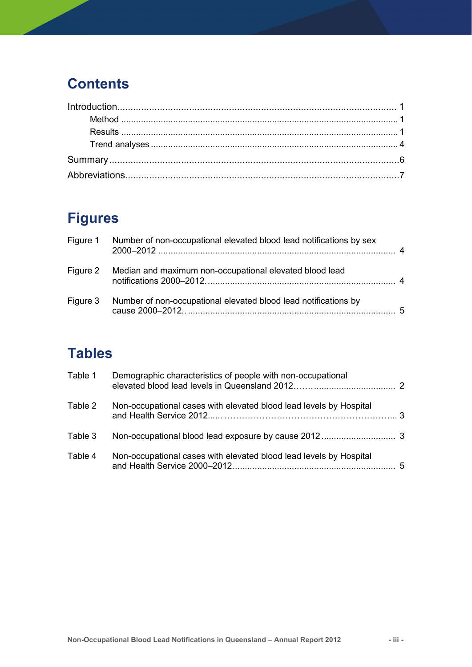## **Contents**

## Figures

| Figure 1 Number of non-occupational elevated blood lead notifications by sex |     |
|------------------------------------------------------------------------------|-----|
| Figure 2 Median and maximum non-occupational elevated blood lead             |     |
| Figure 3 Number of non-occupational elevated blood lead notifications by     | - 5 |

## **Tables**

| Table 1 | Demographic characteristics of people with non-occupational        |  |
|---------|--------------------------------------------------------------------|--|
| Table 2 | Non-occupational cases with elevated blood lead levels by Hospital |  |
| Table 3 |                                                                    |  |
| Table 4 | Non-occupational cases with elevated blood lead levels by Hospital |  |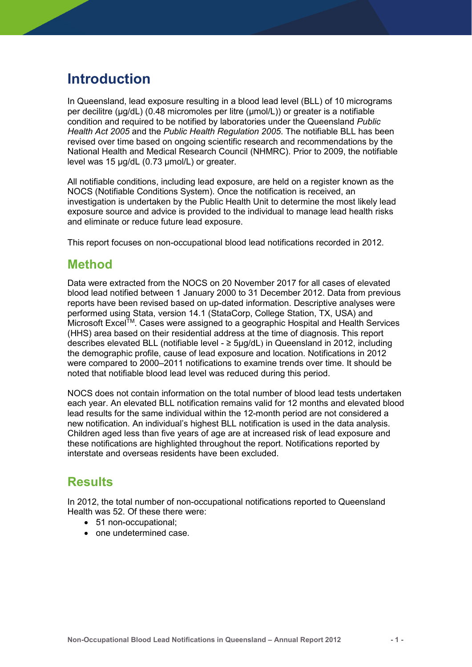### Introduction

In Queensland, lead exposure resulting in a blood lead level (BLL) of 10 micrograms per decilitre (μg/dL) (0.48 micromoles per litre (μmol/L)) or greater is a notifiable condition and required to be notified by laboratories under the Queensland Public Health Act 2005 and the Public Health Regulation 2005. The notifiable BLL has been revised over time based on ongoing scientific research and recommendations by the National Health and Medical Research Council (NHMRC). Prior to 2009, the notifiable level was 15 µg/dL (0.73 µmol/L) or greater.

All notifiable conditions, including lead exposure, are held on a register known as the NOCS (Notifiable Conditions System). Once the notification is received, an investigation is undertaken by the Public Health Unit to determine the most likely lead exposure source and advice is provided to the individual to manage lead health risks and eliminate or reduce future lead exposure.

This report focuses on non-occupational blood lead notifications recorded in 2012.

### Method

Data were extracted from the NOCS on 20 November 2017 for all cases of elevated blood lead notified between 1 January 2000 to 31 December 2012. Data from previous reports have been revised based on up-dated information. Descriptive analyses were performed using Stata, version 14.1 (StataCorp, College Station, TX, USA) and Microsoft Excel<sup>TM</sup>. Cases were assigned to a geographic Hospital and Health Services (HHS) area based on their residential address at the time of diagnosis. This report describes elevated BLL (notifiable level - ≥ 5µg/dL) in Queensland in 2012, including the demographic profile, cause of lead exposure and location. Notifications in 2012 were compared to 2000–2011 notifications to examine trends over time. It should be noted that notifiable blood lead level was reduced during this period.

NOCS does not contain information on the total number of blood lead tests undertaken each year. An elevated BLL notification remains valid for 12 months and elevated blood lead results for the same individual within the 12-month period are not considered a new notification. An individual's highest BLL notification is used in the data analysis. Children aged less than five years of age are at increased risk of lead exposure and these notifications are highlighted throughout the report. Notifications reported by interstate and overseas residents have been excluded.

### **Results**

In 2012, the total number of non-occupational notifications reported to Queensland Health was 52. Of these there were:

- 51 non-occupational:
- one undetermined case.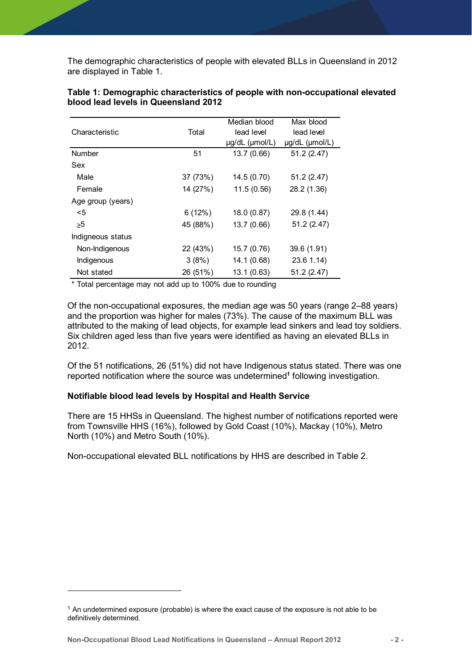|                                                                               | The demographic characteristics of people with elevated BLLs in Queensland in 2012 |                |                |
|-------------------------------------------------------------------------------|------------------------------------------------------------------------------------|----------------|----------------|
|                                                                               |                                                                                    |                |                |
| are displayed in Table 1.                                                     |                                                                                    |                |                |
|                                                                               |                                                                                    |                |                |
|                                                                               |                                                                                    |                |                |
| Table 1: Demographic characteristics of people with non-occupational elevated |                                                                                    |                |                |
|                                                                               |                                                                                    |                |                |
| blood lead levels in Queensland 2012                                          |                                                                                    |                |                |
|                                                                               |                                                                                    |                |                |
|                                                                               |                                                                                    | Median blood   | Max blood      |
| Characteristic                                                                | Total                                                                              | lead level     | lead level     |
|                                                                               |                                                                                    | µg/dL (µmol/L) | µg/dL (µmol/L) |
|                                                                               |                                                                                    |                |                |
|                                                                               |                                                                                    |                |                |
| Number                                                                        | 51                                                                                 | 13.7(0.66)     | 51.2(2.47)     |
| Sex                                                                           |                                                                                    |                |                |
|                                                                               |                                                                                    |                |                |
| Male                                                                          | 37 (73%)                                                                           | 14.5 (0.70)    | 51.2(2.47)     |
| Female                                                                        | 14 (27%)                                                                           | 11.5(0.56)     | 28.2 (1.36)    |
| Age group (years)                                                             |                                                                                    |                |                |
| $5$                                                                           | 6(12%)                                                                             |                |                |
|                                                                               |                                                                                    | 18.0(0.87)     | 29.8 (1.44)    |
| $\geq 5$                                                                      | 45 (88%)                                                                           | 13.7(0.66)     | 51.2(2.47)     |
| Indigneous status                                                             |                                                                                    |                |                |
| Non-Indigenous                                                                | 22 (43%)                                                                           | 15.7 (0.76)    | 39.6 (1.91)    |
| Indigenous                                                                    | 3(8%)                                                                              | 14.1(0.68)     | $23.6$ 1.14)   |
| Not stated                                                                    | 26 (51%)                                                                           | 13.1 (0.63)    | 51.2 (2.47)    |

#### Table 1: Demographic characteristics of people with non-occupational elevated blood lead levels in Queensland 2012

Of the non-occupational exposures, the median age was 50 years (range 2–88 years) and the proportion was higher for males (73%). The cause of the maximum BLL was attributed to the making of lead objects, for example lead sinkers and lead toy soldiers. Six children aged less than five years were identified as having an elevated BLLs in 2012.

Of the 51 notifications, 26 (51%) did not have Indigenous status stated. There was one reported notification where the source was undetermined<sup>1</sup> following investigation.

#### Notifiable blood lead levels by Hospital and Health Service

There are 15 HHSs in Queensland. The highest number of notifications reported were from Townsville HHS (16%), followed by Gold Coast (10%), Mackay (10%), Metro North (10%) and Metro South (10%).

Non-occupational elevated BLL notifications by HHS are described in Table 2.

Non-Occupational Blood Lead Notifications in Queensland – Annual Report 2012 - 2 -

-

 $1$  An undetermined exposure (probable) is where the exact cause of the exposure is not able to be definitively determined.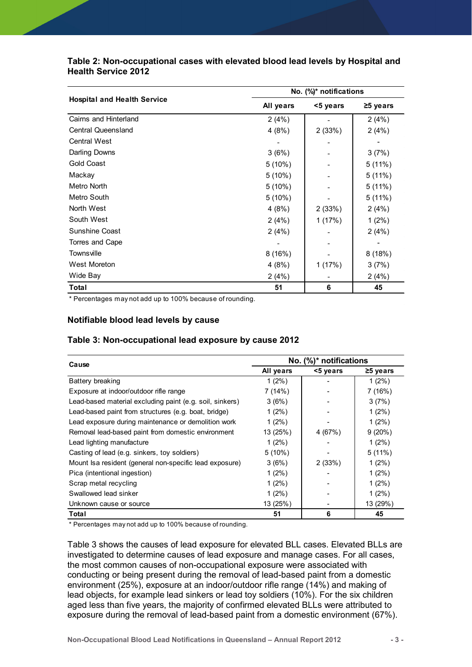| Table 2: Non-occupational cases with elevated blood lead levels by Hospital and<br><b>Health Service 2012</b> |                        |                        |                   |  |  |  |
|---------------------------------------------------------------------------------------------------------------|------------------------|------------------------|-------------------|--|--|--|
|                                                                                                               |                        |                        |                   |  |  |  |
|                                                                                                               |                        |                        |                   |  |  |  |
|                                                                                                               |                        |                        |                   |  |  |  |
|                                                                                                               |                        |                        |                   |  |  |  |
|                                                                                                               |                        |                        |                   |  |  |  |
|                                                                                                               |                        |                        |                   |  |  |  |
|                                                                                                               |                        |                        |                   |  |  |  |
|                                                                                                               |                        |                        |                   |  |  |  |
|                                                                                                               |                        |                        |                   |  |  |  |
|                                                                                                               | No. (%)* notifications |                        |                   |  |  |  |
| <b>Hospital and Health Service</b>                                                                            | All years              | <5 years               | ≥5 years          |  |  |  |
| Cairns and Hinterland                                                                                         | 2(4%)                  |                        | 2(4%)             |  |  |  |
| <b>Central Queensland</b>                                                                                     | 4(8%)                  | 2(33%)                 | 2(4%)             |  |  |  |
| <b>Central West</b>                                                                                           |                        |                        |                   |  |  |  |
| Darling Downs                                                                                                 | 3(6%)                  |                        | 3(7%)             |  |  |  |
| <b>Gold Coast</b>                                                                                             | 5 (10%)                |                        | 5(11%)            |  |  |  |
| Mackay                                                                                                        | 5(10%)                 |                        | 5(11%)            |  |  |  |
| Metro North                                                                                                   | 5(10%)                 |                        | 5(11%)            |  |  |  |
| Metro South                                                                                                   | 5(10%)                 |                        | 5(11%)            |  |  |  |
| North West                                                                                                    | 4(8%)                  | 2(33%)                 | 2(4%)             |  |  |  |
| South West                                                                                                    | 2(4%)                  | 1(17%)                 | $1(2\%)$          |  |  |  |
| Sunshine Coast                                                                                                | 2(4%)                  |                        | 2(4%)             |  |  |  |
| Torres and Cape                                                                                               |                        |                        |                   |  |  |  |
| Townsville                                                                                                    | 8(16%)                 |                        | 8(18%)            |  |  |  |
| West Moreton                                                                                                  | 4(8%)                  | 1(17%)                 | 3(7%)             |  |  |  |
| Wide Bay                                                                                                      | 2(4%)                  |                        | 2(4%)             |  |  |  |
| <b>Total</b>                                                                                                  | 51                     | $\bf 6$                | 45                |  |  |  |
| * Percentages may not add up to 100% because of rounding.                                                     |                        |                        |                   |  |  |  |
|                                                                                                               |                        |                        |                   |  |  |  |
| Notifiable blood lead levels by cause                                                                         |                        |                        |                   |  |  |  |
|                                                                                                               |                        |                        |                   |  |  |  |
| Table 3: Non-occupational lead exposure by cause 2012                                                         |                        |                        |                   |  |  |  |
|                                                                                                               |                        |                        |                   |  |  |  |
| Cause                                                                                                         |                        | No. (%)* notifications |                   |  |  |  |
|                                                                                                               | All years              | <5 years               | $\geq$ 5 years    |  |  |  |
| Battery breaking                                                                                              | 1(2%)                  |                        | 1(2%)             |  |  |  |
|                                                                                                               | 7(14%)                 |                        | 7 (16%)           |  |  |  |
| Exposure at indoor/outdoor rifle range                                                                        | 3(6%)                  |                        | 3(7%)             |  |  |  |
| Lead-based material excluding paint (e.g. soil, sinkers)                                                      |                        |                        |                   |  |  |  |
| Lead-based paint from structures (e.g. boat, bridge)                                                          | $1(2\%)$               |                        | $1(2\%)$          |  |  |  |
| Lead exposure during maintenance or demolition work                                                           | $1(2\%)$               |                        | $1(2\%)$          |  |  |  |
| Removal lead-based paint from domestic environment<br>Load lighting manufacture                               | 13 (25%)<br>1/20(1)    | 4 (67%)                | 9(20%)<br>1/20(1) |  |  |  |

#### Notifiable blood lead levels by cause

#### Table 3: Non-occupational lead exposure by cause 2012

| North West<br>South West<br>Sunshine Coast                                      | 4(8%)     |                        | 5(11%)         |  |
|---------------------------------------------------------------------------------|-----------|------------------------|----------------|--|
|                                                                                 |           | 2(33%)                 | 2(4%)          |  |
|                                                                                 | 2(4%)     | 1(17%)                 | $1(2\%)$       |  |
|                                                                                 | 2(4%)     |                        | 2(4%)          |  |
| Torres and Cape                                                                 |           |                        |                |  |
| Townsville                                                                      | 8(16%)    |                        | 8(18%)         |  |
| West Moreton                                                                    | 4(8%)     | 1(17%)                 | 3(7%)          |  |
| Wide Bay                                                                        | 2(4%)     |                        | 2(4%)          |  |
|                                                                                 |           |                        |                |  |
| Total<br>* Percentages may not add up to 100% because of rounding.              | 51        | 6                      | 45             |  |
| Table 3: Non-occupational lead exposure by cause 2012                           |           | No. (%)* notifications |                |  |
| Cause                                                                           | All years | <5 years               | $\geq$ 5 years |  |
| Battery breaking                                                                | $1(2\%)$  |                        | $1(2\%)$       |  |
| Exposure at indoor/outdoor rifle range                                          | 7(14%)    |                        | 7(16%)         |  |
| Lead-based material excluding paint (e.g. soil, sinkers)                        | 3(6%)     |                        | 3(7%)          |  |
| Lead-based paint from structures (e.g. boat, bridge)                            | $1(2\%)$  |                        | $1(2\%)$       |  |
| Lead exposure during maintenance or demolition work                             | $1(2\%)$  |                        | $1(2\%)$       |  |
|                                                                                 | 13 (25%)  | 4 (67%)                | 9(20%)         |  |
|                                                                                 | $1(2\%)$  |                        | $1(2\%)$       |  |
| Removal lead-based paint from domestic environment<br>Lead lighting manufacture |           |                        |                |  |
| Casting of lead (e.g. sinkers, toy soldiers)                                    | 5(10%)    |                        | 5(11%)         |  |
| Mount Isa resident (general non-specific lead exposure)                         | 3(6%)     | 2(33%)                 | $1(2\%)$       |  |
| Pica (intentional ingestion)                                                    | $1(2\%)$  |                        | $1(2\%)$       |  |
| Scrap metal recycling                                                           | $1(2\%)$  |                        | $1(2\%)$       |  |
| Swallowed lead sinker                                                           | $1(2\%)$  |                        | $1(2\%)$       |  |
| Unknown cause or source                                                         | 13 (25%)  | $\blacksquare$         | 13 (29%)       |  |

Table 3 shows the causes of lead exposure for elevated BLL cases. Elevated BLLs are investigated to determine causes of lead exposure and manage cases. For all cases, the most common causes of non-occupational exposure were associated with conducting or being present during the removal of lead-based paint from a domestic environment (25%), exposure at an indoor/outdoor rifle range (14%) and making of lead objects, for example lead sinkers or lead toy soldiers (10%). For the six children aged less than five years, the majority of confirmed elevated BLLs were attributed to exposure during the removal of lead-based paint from a domestic environment (67%).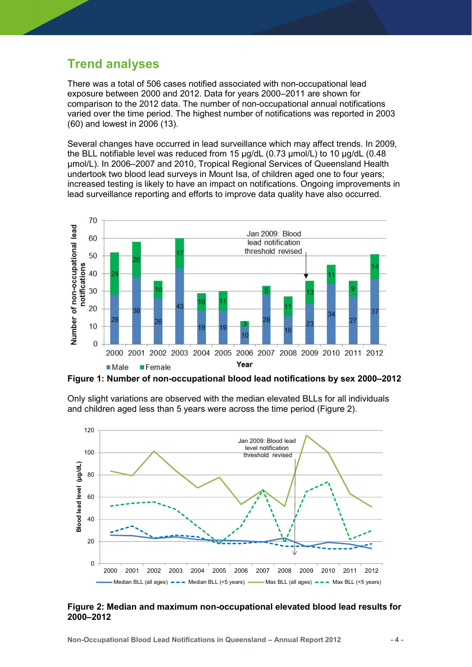### Trend analyses

There was a total of 506 cases notified associated with non-occupational lead exposure between 2000 and 2012. Data for years 2000–2011 are shown for comparison to the 2012 data. The number of non-occupational annual notifications varied over the time period. The highest number of notifications was reported in 2003 (60) and lowest in 2006 (13).

Several changes have occurred in lead surveillance which may affect trends. In 2009, the BLL notifiable level was reduced from 15 µg/dL (0.73 µmol/L) to 10 µg/dL (0.48 µmol/L). In 2006–2007 and 2010, Tropical Regional Services of Queensland Health undertook two blood lead surveys in Mount Isa, of children aged one to four years; increased testing is likely to have an impact on notifications. Ongoing improvements in lead surveillance reporting and efforts to improve data quality have also occurred.



Figure 1: Number of non-occupational blood lead notifications by sex 2000–2012



Only slight variations are observed with the median elevated BLLs for all individuals and children aged less than 5 years were across the time period (Figure 2).

#### Figure 2: Median and maximum non-occupational elevated blood lead results for 2000–2012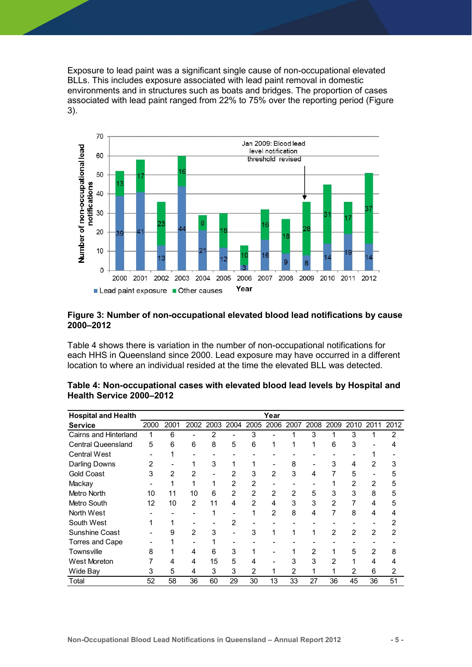Exposure to lead paint was a significant single cause of non-occupational elevated BLLs. This includes exposure associated with lead paint removal in domestic environments and in structures such as boats and bridges. The proportion of cases associated with lead paint ranged from 22% to 75% over the reporting period (Figure 3).



#### Figure 3: Number of non-occupational elevated blood lead notifications by cause 2000–2012

| Number of<br>$10$                                                                            |                |                                |                |                  |                          |                |                          |                      |                    |                    |                      |                |                      |
|----------------------------------------------------------------------------------------------|----------------|--------------------------------|----------------|------------------|--------------------------|----------------|--------------------------|----------------------|--------------------|--------------------|----------------------|----------------|----------------------|
|                                                                                              |                |                                |                |                  |                          |                |                          |                      |                    |                    |                      |                |                      |
| 0<br>2000                                                                                    | 2001           | 2002 2003 2004 2005            |                |                  |                          | 2006           | 2007                     | 2008 2009            |                    |                    | 2010 2011 2012       |                |                      |
|                                                                                              |                |                                |                |                  |                          | Year           |                          |                      |                    |                    |                      |                |                      |
| Lead paint exposure Other causes                                                             |                |                                |                |                  |                          |                |                          |                      |                    |                    |                      |                |                      |
|                                                                                              |                |                                |                |                  |                          |                |                          |                      |                    |                    |                      |                |                      |
| Figure 3: Number of non-occupational elevated blood lead notifications by cause<br>2000-2012 |                |                                |                |                  |                          |                |                          |                      |                    |                    |                      |                |                      |
| Table 4 shows there is variation in the number of non-occupational notifications for         |                |                                |                |                  |                          |                |                          |                      |                    |                    |                      |                |                      |
| each HHS in Queensland since 2000. Lead exposure may have occurred in a different            |                |                                |                |                  |                          |                |                          |                      |                    |                    |                      |                |                      |
| location to where an individual resided at the time the elevated BLL was detected.           |                |                                |                |                  |                          |                |                          |                      |                    |                    |                      |                |                      |
|                                                                                              |                |                                |                |                  |                          |                |                          |                      |                    |                    |                      |                |                      |
|                                                                                              |                |                                |                |                  |                          |                |                          |                      |                    |                    |                      |                |                      |
| Table 4: Non-occupational cases with elevated blood lead levels by Hospital and              |                |                                |                |                  |                          |                |                          |                      |                    |                    |                      |                |                      |
| Health Service 2000-2012                                                                     |                |                                |                |                  |                          |                |                          |                      |                    |                    |                      |                |                      |
|                                                                                              |                |                                |                |                  |                          |                |                          |                      |                    |                    |                      |                |                      |
| <b>Hospital and Health</b>                                                                   |                |                                |                |                  |                          |                | Year                     |                      |                    |                    |                      |                |                      |
| <b>Service</b>                                                                               | 2000           | 2001                           | 2002           | 2003             | 2004                     | 2005           | 2006 2007                |                      | 2008               | 2009               | 2010                 | 2011           | 2012                 |
| Cairns and Hinterland                                                                        | $\overline{1}$ | 6                              | $\blacksquare$ | $\overline{c}$   | $\blacksquare$           | 3              | $\overline{\phantom{a}}$ | 1                    | 3                  | 1                  | 3                    | $\mathbf{1}$   | 2                    |
|                                                                                              | 5              | 6                              | 6              | 8                | 5                        | 6              | $\mathbf{1}$             | $\mathbf{1}$         | $\mathbf{1}$       | 6                  | 3                    |                | 4                    |
|                                                                                              |                |                                |                |                  |                          |                |                          |                      |                    |                    |                      |                |                      |
| <b>Central Queensland</b>                                                                    | $\sim$         |                                | $\overline{a}$ | $\blacksquare$   | $\overline{\phantom{a}}$ |                |                          |                      |                    |                    | $\sim$               |                | $\overline{a}$       |
| <b>Central West</b>                                                                          |                | $\mathbf{1}$<br>$\overline{a}$ | $\mathbf{1}$   |                  | $\mathbf{1}$             | 1              | $\overline{a}$           |                      | $\overline{a}$     |                    |                      | $\mathbf{1}$   |                      |
| <b>Darling Downs</b>                                                                         | $\overline{c}$ |                                |                | 3                |                          |                |                          | 8                    |                    | 3                  | 4                    | $\overline{2}$ | 3                    |
| <b>Gold Coast</b>                                                                            | 3              | $\overline{2}$                 | $\overline{2}$ | $\blacksquare$   | $\overline{2}$           | 3              | $\overline{2}$           | 3<br>$\overline{a}$  | 4                  | $\overline{7}$     | 5                    | $\blacksquare$ | 5                    |
| Mackay                                                                                       |                | $\mathbf{1}$                   | $\mathbf{1}$   | $\mathbf{1}$     | $\overline{c}$           | $\overline{c}$ | $\overline{a}$           |                      |                    | $\mathbf{1}$       | $\overline{2}$       | $\overline{c}$ | 5                    |
| Metro North                                                                                  | 10             | 11                             | 10             | $\,6\,$          | $\overline{2}$           | $\overline{2}$ | $\overline{2}$           | $\overline{2}$       | 5                  | 3                  | 3                    | 8              | 5                    |
| Metro South                                                                                  | 12             | 10                             | $\overline{2}$ | 11               | $\overline{4}$           | $\overline{c}$ | $\overline{4}$           | 3                    | 3                  | $\overline{2}$     | $\overline{7}$       | $\overline{4}$ | 5                    |
| North West                                                                                   |                | $\overline{a}$                 | $\overline{a}$ | $\mathbf{1}$     | $\overline{a}$           | $\mathbf{1}$   | $\overline{2}$           | 8                    | 4                  | $\overline{7}$     | 8                    | $\overline{4}$ | $\overline{4}$       |
| South West                                                                                   | 1              | $\mathbf 1$                    | $\blacksquare$ | $\overline{a}$   | $\overline{c}$           |                |                          | $\blacksquare$       |                    | $\blacksquare$     | $\blacksquare$       | $\blacksquare$ | $\overline{c}$       |
| Sunshine Coast                                                                               | $\overline{a}$ | 9                              | $\overline{2}$ | 3                | $\mathbf{L}$             | 3              | $\mathbf{1}$             | $\mathbf{1}$         | $\mathbf{1}$       | $\overline{2}$     | $\overline{2}$       | $\overline{2}$ | $\overline{c}$       |
| Torres and Cape                                                                              |                | $\mathbf{1}$                   | $\overline{a}$ | $\mathbf{1}$     | $\overline{a}$           |                |                          |                      |                    |                    |                      | $\overline{a}$ |                      |
| Townsville                                                                                   | 8              | $\mathbf{1}$                   | $\overline{4}$ | $\,6\,$          | 3                        |                |                          | 1                    | $\overline{c}$     | $\mathbf{1}$       | 5                    | $\overline{2}$ | 8                    |
| <b>West Moreton</b>                                                                          | $\overline{7}$ | 4                              | 4              | 15               | 5                        | 4              |                          | 3                    | 3                  | $\overline{2}$     | $\mathbf{1}$         | $\overline{4}$ | 4                    |
| Wide Bay                                                                                     | 3<br>52        | 5<br>58                        | 4<br>36        | $\sqrt{3}$<br>60 | 3<br>29                  | 2<br>30        | $\mathbf{1}$<br>13       | $\overline{c}$<br>33 | $\mathbf{1}$<br>27 | $\mathbf{1}$<br>36 | $\overline{c}$<br>45 | 6<br>36        | $\overline{a}$<br>51 |

| Table 4: Non-occupational cases with elevated blood lead levels by Hospital and |  |
|---------------------------------------------------------------------------------|--|
| Health Service 2000-2012                                                        |  |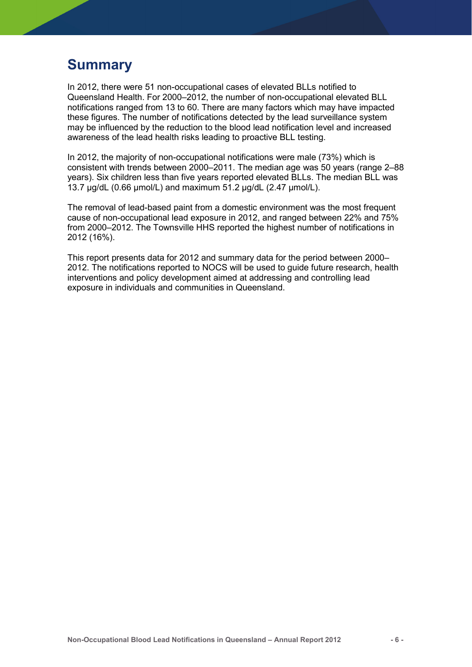### Summary

In 2012, there were 51 non-occupational cases of elevated BLLs notified to Queensland Health. For 2000–2012, the number of non-occupational elevated BLL notifications ranged from 13 to 60. There are many factors which may have impacted these figures. The number of notifications detected by the lead surveillance system may be influenced by the reduction to the blood lead notification level and increased awareness of the lead health risks leading to proactive BLL testing.

In 2012, the majority of non-occupational notifications were male (73%) which is consistent with trends between 2000–2011. The median age was 50 years (range 2–88 years). Six children less than five years reported elevated BLLs. The median BLL was 13.7 µg/dL (0.66 µmol/L) and maximum 51.2 µg/dL (2.47 µmol/L).

The removal of lead-based paint from a domestic environment was the most frequent cause of non-occupational lead exposure in 2012, and ranged between 22% and 75% from 2000–2012. The Townsville HHS reported the highest number of notifications in 2012 (16%).

This report presents data for 2012 and summary data for the period between 2000– 2012. The notifications reported to NOCS will be used to guide future research, health interventions and policy development aimed at addressing and controlling lead exposure in individuals and communities in Queensland.